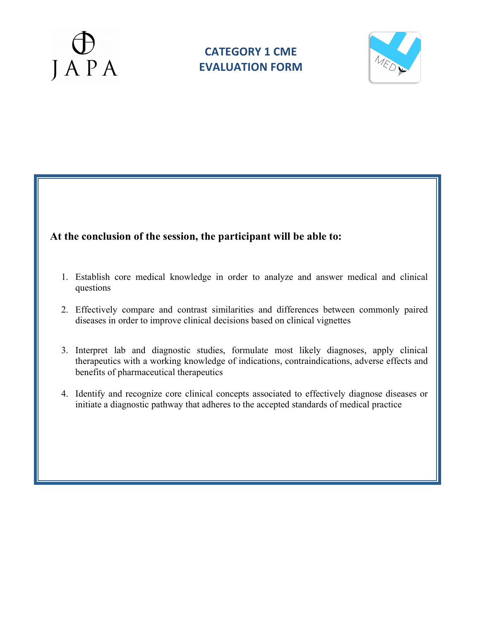



### **At the conclusion of the session, the participant will be able to:**

- 1. Establish core medical knowledge in order to analyze and answer medical and clinical questions
- 2. Effectively compare and contrast similarities and differences between commonly paired diseases in order to improve clinical decisions based on clinical vignettes
- 3. Interpret lab and diagnostic studies, formulate most likely diagnoses, apply clinical therapeutics with a working knowledge of indications, contraindications, adverse effects and benefits of pharmaceutical therapeutics
- 4. Identify and recognize core clinical concepts associated to effectively diagnose diseases or initiate a diagnostic pathway that adheres to the accepted standards of medical practice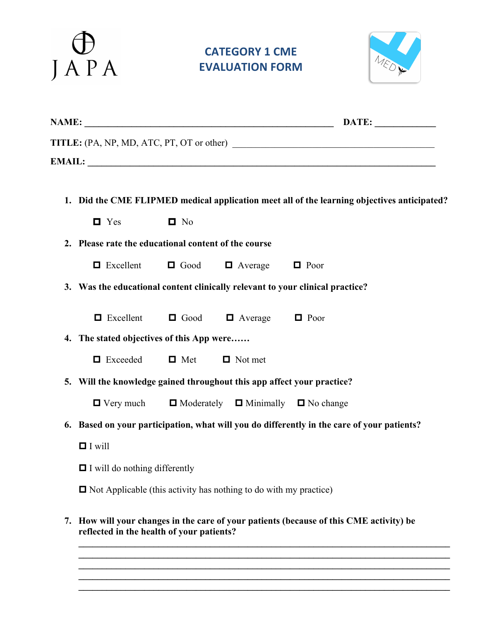

## **CATEGORY 1 CME EVALUATION FORM**



| <b>NAME:</b>                                     | DATE: |
|--------------------------------------------------|-------|
| <b>TITLE:</b> (PA, NP, MD, ATC, PT, OT or other) |       |
| <b>EMAIL:</b>                                    |       |
|                                                  |       |

| 1. Did the CME FLIPMED medical application meet all of the learning objectives anticipated? |  |
|---------------------------------------------------------------------------------------------|--|
|---------------------------------------------------------------------------------------------|--|

**2. Please rate the educational content of the course**

| $\Box$ Excellent<br>$\Box$ Good<br>$\Box$ Average | $\Box$ Poor |
|---------------------------------------------------|-------------|
|---------------------------------------------------|-------------|

**3. Was the educational content clinically relevant to your clinical practice?**

 $\Box$  Excellent  $\Box$  Good  $\Box$  Average  $\Box$  Poor

**4. The stated objectives of this App were……**

| $\blacksquare$ Exceeded | $\Box$ Met | $\Box$ Not met |
|-------------------------|------------|----------------|
|-------------------------|------------|----------------|

**5. Will the knowledge gained throughout this app affect your practice?**

| $\blacksquare$ Very much | $\Box$ Moderately $\Box$ Minimally $\Box$ No change |  |
|--------------------------|-----------------------------------------------------|--|
|                          |                                                     |  |

- **6. Based on your participation, what will you do differently in the care of your patients?** 
	- $\blacksquare$  I will

 $\Box$  I will do nothing differently

 $\Box$  Not Applicable (this activity has nothing to do with my practice)

**7. How will your changes in the care of your patients (because of this CME activity) be reflected in the health of your patients?** 

**\_\_\_\_\_\_\_\_\_\_\_\_\_\_\_\_\_\_\_\_\_\_\_\_\_\_\_\_\_\_\_\_\_\_\_\_\_\_\_\_\_\_\_\_\_\_\_\_\_\_\_\_\_\_\_\_\_\_\_\_\_\_\_\_\_\_\_\_\_\_\_\_\_\_\_\_\_\_\_**  $\mathcal{L}_\mathcal{L} = \{ \mathcal{L}_\mathcal{L} = \{ \mathcal{L}_\mathcal{L} = \{ \mathcal{L}_\mathcal{L} = \{ \mathcal{L}_\mathcal{L} = \{ \mathcal{L}_\mathcal{L} = \{ \mathcal{L}_\mathcal{L} = \{ \mathcal{L}_\mathcal{L} = \{ \mathcal{L}_\mathcal{L} = \{ \mathcal{L}_\mathcal{L} = \{ \mathcal{L}_\mathcal{L} = \{ \mathcal{L}_\mathcal{L} = \{ \mathcal{L}_\mathcal{L} = \{ \mathcal{L}_\mathcal{L} = \{ \mathcal{L}_\mathcal{$ **\_\_\_\_\_\_\_\_\_\_\_\_\_\_\_\_\_\_\_\_\_\_\_\_\_\_\_\_\_\_\_\_\_\_\_\_\_\_\_\_\_\_\_\_\_\_\_\_\_\_\_\_\_\_\_\_\_\_\_\_\_\_\_\_\_\_\_\_\_\_\_\_\_\_\_\_\_\_\_ \_\_\_\_\_\_\_\_\_\_\_\_\_\_\_\_\_\_\_\_\_\_\_\_\_\_\_\_\_\_\_\_\_\_\_\_\_\_\_\_\_\_\_\_\_\_\_\_\_\_\_\_\_\_\_\_\_\_\_\_\_\_\_\_\_\_\_\_\_\_\_\_\_\_\_\_\_\_\_**  $\mathcal{L}_\mathcal{L} = \{ \mathcal{L}_\mathcal{L} = \{ \mathcal{L}_\mathcal{L} = \{ \mathcal{L}_\mathcal{L} = \{ \mathcal{L}_\mathcal{L} = \{ \mathcal{L}_\mathcal{L} = \{ \mathcal{L}_\mathcal{L} = \{ \mathcal{L}_\mathcal{L} = \{ \mathcal{L}_\mathcal{L} = \{ \mathcal{L}_\mathcal{L} = \{ \mathcal{L}_\mathcal{L} = \{ \mathcal{L}_\mathcal{L} = \{ \mathcal{L}_\mathcal{L} = \{ \mathcal{L}_\mathcal{L} = \{ \mathcal{L}_\mathcal{$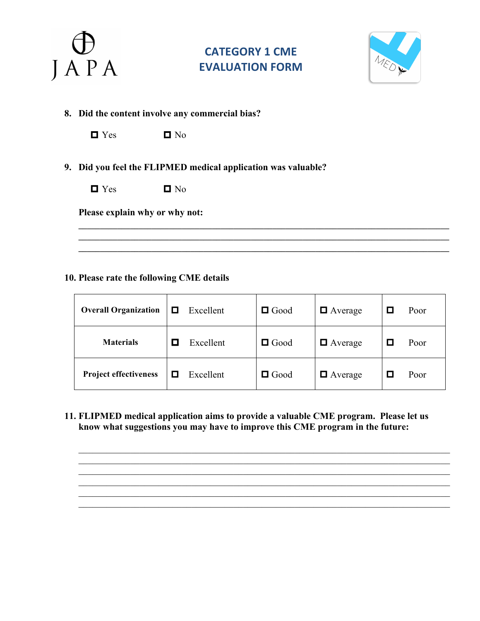

## **CATEGORY 1 CME EVALUATION FORM**



**8. Did the content involve any commercial bias?**

|--|--|

 $\blacksquare$  No

 $\blacksquare$  No

**9. Did you feel the FLIPMED medical application was valuable?** 

| $\sim$<br>Ë |
|-------------|
|-------------|

**Please explain why or why not:**

#### **10. Please rate the following CME details**

| <b>Overall Organization</b>  | ◻ | Excellent | $\Box$ Good | $\Box$ Average         | Poor |
|------------------------------|---|-----------|-------------|------------------------|------|
| <b>Materials</b>             |   | Excellent | $\Box$ Good | $\blacksquare$ Average | Poor |
| <b>Project effectiveness</b> | □ | Excellent | $\Box$ Good | $\Box$ Average         | Poor |

**\_\_\_\_\_\_\_\_\_\_\_\_\_\_\_\_\_\_\_\_\_\_\_\_\_\_\_\_\_\_\_\_\_\_\_\_\_\_\_\_\_\_\_\_\_\_\_\_\_\_\_\_\_\_\_\_\_\_\_\_\_\_\_\_\_\_\_\_\_\_\_\_\_\_\_\_\_\_\_\_\_\_\_\_\_\_ \_\_\_\_\_\_\_\_\_\_\_\_\_\_\_\_\_\_\_\_\_\_\_\_\_\_\_\_\_\_\_\_\_\_\_\_\_\_\_\_\_\_\_\_\_\_\_\_\_\_\_\_\_\_\_\_\_\_\_\_\_\_\_\_\_\_\_\_\_\_\_\_\_\_\_\_\_\_\_\_\_\_\_\_\_\_**

**11. FLIPMED medical application aims to provide a valuable CME program. Please let us know what suggestions you may have to improve this CME program in the future:**